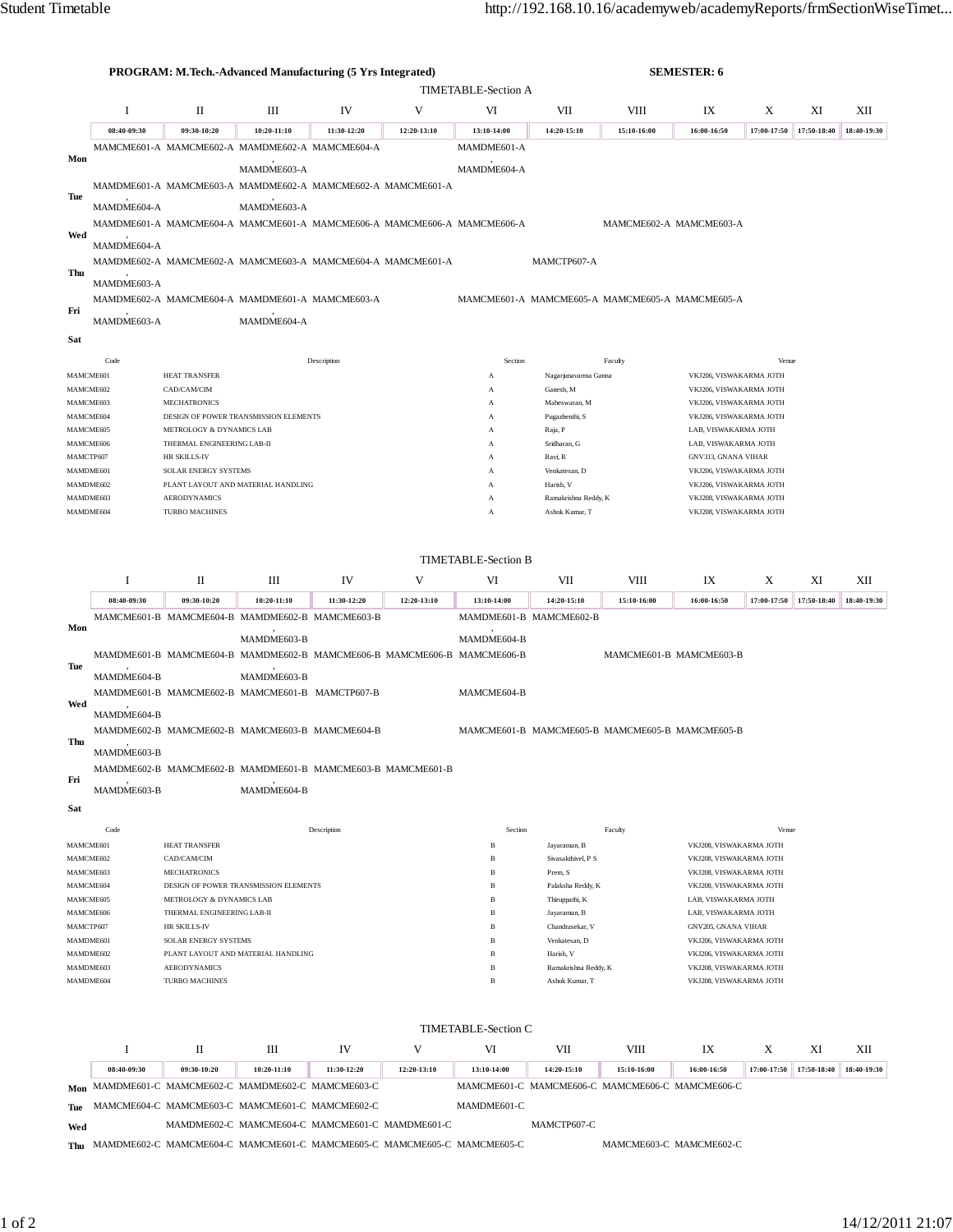|                                                                                        |             |                                                                                                    | <b>PROGRAM: M.Tech.-Advanced Manufacturing (5 Yrs Integrated)</b>       |             |             |                                                 |                                                                                     | <b>SEMESTER: 6</b> |                                                    |             |             |             |
|----------------------------------------------------------------------------------------|-------------|----------------------------------------------------------------------------------------------------|-------------------------------------------------------------------------|-------------|-------------|-------------------------------------------------|-------------------------------------------------------------------------------------|--------------------|----------------------------------------------------|-------------|-------------|-------------|
|                                                                                        |             |                                                                                                    |                                                                         |             |             | TIMETABLE-Section A                             |                                                                                     |                    |                                                    |             |             |             |
|                                                                                        | 1           | П                                                                                                  | Ш                                                                       | IV          | VI          | VII<br>VIII<br>IX<br>X<br>ΧI                    |                                                                                     |                    |                                                    |             | XII         |             |
|                                                                                        | 08:40-09:30 | 09:30-10:20                                                                                        | 10:20-11:10                                                             | 11:30-12:20 | 12:20-13:10 | 13:10-14:00                                     | 14:20-15:10                                                                         | 15:10-16:00        | 16:00-16:50                                        | 17:00-17:50 | 17:50-18:40 | 18:40-19:30 |
|                                                                                        |             |                                                                                                    | MAMCME601-A MAMCME602-A MAMDME602-A MAMCME604-A                         |             |             | MAMDME601-A                                     |                                                                                     |                    |                                                    |             |             |             |
| Mon                                                                                    |             |                                                                                                    | MAMDME603-A                                                             |             |             | MAMDME604-A                                     |                                                                                     |                    |                                                    |             |             |             |
|                                                                                        |             |                                                                                                    | MAMDME601-A MAMCME603-A MAMDME602-A MAMCME602-A MAMCME601-A             |             |             |                                                 |                                                                                     |                    |                                                    |             |             |             |
| Tue                                                                                    |             |                                                                                                    |                                                                         |             |             |                                                 |                                                                                     |                    |                                                    |             |             |             |
|                                                                                        | MAMDME604-A |                                                                                                    | MAMDME603-A                                                             |             |             |                                                 |                                                                                     |                    |                                                    |             |             |             |
| Wed                                                                                    |             | MAMDME601-A MAMCME604-A MAMCME601-A MAMCME606-A MAMCME606-A MAMCME606-A<br>MAMCME602-A MAMCME603-A |                                                                         |             |             |                                                 |                                                                                     |                    |                                                    |             |             |             |
|                                                                                        | MAMDME604-A |                                                                                                    |                                                                         |             |             |                                                 |                                                                                     |                    |                                                    |             |             |             |
| Thu                                                                                    |             |                                                                                                    | MAMDME602-A MAMCME602-A MAMCME603-A MAMCME604-A MAMCME601-A             |             |             |                                                 | MAMCTP607-A                                                                         |                    |                                                    |             |             |             |
|                                                                                        | MAMDME603-A |                                                                                                    |                                                                         |             |             |                                                 |                                                                                     |                    |                                                    |             |             |             |
| Fri                                                                                    |             |                                                                                                    | MAMDME602-A MAMCME604-A MAMDME601-A MAMCME603-A                         |             |             |                                                 |                                                                                     |                    | MAMCME601-A MAMCME605-A MAMCME605-A MAMCME605-A    |             |             |             |
|                                                                                        | MAMDME603-A |                                                                                                    | MAMDME604-A                                                             |             |             |                                                 |                                                                                     |                    |                                                    |             |             |             |
| Sat                                                                                    |             |                                                                                                    |                                                                         |             |             |                                                 |                                                                                     |                    |                                                    |             |             |             |
|                                                                                        | Code        |                                                                                                    |                                                                         | Description |             | Section                                         |                                                                                     | Faculty            |                                                    | Venue       |             |             |
| MAMCME601                                                                              |             | <b>HEAT TRANSFER</b>                                                                               |                                                                         |             |             | А                                               | Nagarjunavarma Ganna                                                                |                    | VKJ206, VISWAKARMA JOTH                            |             |             |             |
| MAMCME602                                                                              |             | CAD/CAM/CIM<br><b>MECHATRONICS</b>                                                                 |                                                                         |             |             | А                                               | Ganesh, M<br>Maheswaran, M                                                          |                    | VKJ206, VISWAKARMA JOTH                            |             |             |             |
| MAMCME603<br>MAMCME604                                                                 |             |                                                                                                    | DESIGN OF POWER TRANSMISSION ELEMENTS                                   |             |             | А<br>А                                          | Pugazhenthi, S                                                                      |                    | VKJ206, VISWAKARMA JOTH<br>VKJ206, VISWAKARMA JOTH |             |             |             |
| MAMCME605                                                                              |             | METROLOGY & DYNAMICS LAB                                                                           |                                                                         |             |             | А                                               | Raja, P                                                                             |                    | LAB, VISWAKARMA JOTH                               |             |             |             |
| MAMCME606                                                                              |             | THERMAL ENGINEERING LAB-II                                                                         |                                                                         |             |             | А                                               | Sridharan, G                                                                        |                    | LAB, VISWAKARMA JOTH                               |             |             |             |
| MAMCTP607<br>MAMDME601                                                                 |             | HR SKILLS-IV<br>SOLAR ENERGY SYSTEMS                                                               |                                                                         |             |             | А<br>А                                          | Ravi, R<br>Venkatesan, D                                                            |                    | GNV313, GNANA VIHAR<br>VKJ206, VISWAKARMA JOTH     |             |             |             |
| MAMDME602                                                                              |             |                                                                                                    | PLANT LAYOUT AND MATERIAL HANDLING                                      |             |             | A                                               | Harish, V                                                                           |                    | VKJ206, VISWAKARMA JOTH                            |             |             |             |
| MAMDME603                                                                              |             | <b>AERODYNAMICS</b>                                                                                |                                                                         |             |             | А                                               | Ramakrishna Reddy, K                                                                |                    | VKJ208, VISWAKARMA JOTH                            |             |             |             |
| MAMDME604                                                                              |             | <b>TURBO MACHINES</b>                                                                              |                                                                         |             |             | А                                               | Ashok Kumar, T                                                                      |                    | VKJ208, VISWAKARMA JOTH                            |             |             |             |
|                                                                                        |             |                                                                                                    |                                                                         |             |             |                                                 |                                                                                     |                    |                                                    |             |             |             |
|                                                                                        |             |                                                                                                    |                                                                         |             |             | <b>TIMETABLE-Section B</b>                      |                                                                                     |                    |                                                    |             |             |             |
|                                                                                        | I           | П                                                                                                  | Ш                                                                       | IV          | V           | VI                                              | VII                                                                                 | VIII               | IX                                                 | X           | XI          | XII         |
|                                                                                        | 08:40-09:30 | 09:30-10:20                                                                                        | 10:20-11:10                                                             | 11:30-12:20 | 12:20-13:10 | 13:10-14:00                                     | 14:20-15:10                                                                         | 15:10-16:00        | 16:00-16:50                                        | 17:00-17:50 | 17:50-18:40 | 18:40-19:30 |
|                                                                                        |             |                                                                                                    | MAMCME601-B MAMCME604-B MAMDME602-B MAMCME603-B                         |             |             | MAMDME601-B MAMCME602-B                         |                                                                                     |                    |                                                    |             |             |             |
| Mon                                                                                    |             |                                                                                                    | MAMDME603-B                                                             |             |             | MAMDME604-B                                     |                                                                                     |                    |                                                    |             |             |             |
|                                                                                        |             |                                                                                                    | MAMDME601-B MAMCME604-B MAMDME602-B MAMCME606-B MAMCME606-B MAMCME606-B |             |             |                                                 |                                                                                     |                    | MAMCME601-B MAMCME603-B                            |             |             |             |
| Tue                                                                                    |             |                                                                                                    |                                                                         |             |             |                                                 |                                                                                     |                    |                                                    |             |             |             |
|                                                                                        | MAMDME604-B |                                                                                                    | MAMDME603-B<br>MAMDME601-B MAMCME602-B MAMCME601-B MAMCTP607-B          |             |             | MAMCME604-B                                     |                                                                                     |                    |                                                    |             |             |             |
| Wed                                                                                    |             |                                                                                                    |                                                                         |             |             |                                                 |                                                                                     |                    |                                                    |             |             |             |
|                                                                                        | MAMDME604-B |                                                                                                    |                                                                         |             |             |                                                 |                                                                                     |                    |                                                    |             |             |             |
| Thu                                                                                    |             |                                                                                                    | MAMDME602-B MAMCME602-B MAMCME603-B MAMCME604-B                         |             |             |                                                 |                                                                                     |                    | MAMCME601-B MAMCME605-B MAMCME605-B MAMCME605-B    |             |             |             |
|                                                                                        | MAMDME603-B |                                                                                                    |                                                                         |             |             |                                                 |                                                                                     |                    |                                                    |             |             |             |
| Fri                                                                                    |             |                                                                                                    | MAMDME602-B MAMCME602-B MAMDME601-B MAMCME603-B MAMCME601-B             |             |             |                                                 |                                                                                     |                    |                                                    |             |             |             |
|                                                                                        | MAMDME603-B |                                                                                                    | MAMDME604-B                                                             |             |             |                                                 |                                                                                     |                    |                                                    |             |             |             |
| Sat                                                                                    |             |                                                                                                    |                                                                         |             |             |                                                 |                                                                                     |                    |                                                    |             |             |             |
|                                                                                        | Code        |                                                                                                    |                                                                         | Description |             | Section                                         |                                                                                     | Faculty            |                                                    | Venue       |             |             |
| MAMCME601                                                                              |             | HEAT TRANSFER                                                                                      |                                                                         |             |             | $\, {\bf B}$                                    | Jayaraman, B                                                                        |                    | VKJ208, VISWAKARMA JOTH                            |             |             |             |
| MAMCME602<br>MAMCME603                                                                 |             | CAD/CAM/CIM<br><b>MECHATRONICS</b>                                                                 |                                                                         |             |             | $\, {\bf B}$<br>$\, {\bf B}$                    | VKJ208, VISWAKARMA JOTH<br>Sivasakthivel, P S<br>VKJ208, VISWAKARMA JOTH<br>Prem, S |                    |                                                    |             |             |             |
| MAMCME604                                                                              |             |                                                                                                    | DESIGN OF POWER TRANSMISSION ELEMENTS                                   |             |             | $\, {\bf B}$                                    | Palaksha Reddy, K                                                                   |                    | VKJ208, VISWAKARMA JOTH                            |             |             |             |
| MAMCME605                                                                              |             | METROLOGY & DYNAMICS LAB                                                                           |                                                                         |             |             | $\, {\bf B}$                                    | Thiruppathi, K                                                                      |                    | LAB, VISWAKARMA JOTH                               |             |             |             |
| MAMCME606<br>MAMCTP607                                                                 |             | THERMAL ENGINEERING LAB-II                                                                         |                                                                         |             |             | $\, {\bf B}$<br>В                               | Jayaraman, B<br>LAB, VISWAKARMA JOTH<br>Chandrasekar, V<br>GNV205, GNANA VIHAR      |                    |                                                    |             |             |             |
| MAMDME601                                                                              |             | HR SKILLS-IV<br>SOLAR ENERGY SYSTEMS                                                               |                                                                         |             |             | $_{\rm B}$                                      | Venkatesan, D<br>VKJ206, VISWAKARMA JOTH                                            |                    |                                                    |             |             |             |
| MAMDME602                                                                              |             | PLANT LAYOUT AND MATERIAL HANDLING                                                                 |                                                                         |             |             | $_{\rm B}$                                      | Harish, V<br>VKJ206, VISWAKARMA JOTH                                                |                    |                                                    |             |             |             |
| MAMDME603                                                                              |             | <b>AERODYNAMICS</b>                                                                                |                                                                         |             |             | $\, {\bf B}$                                    | Ramakrishna Reddy, K                                                                |                    | VKJ208, VISWAKARMA JOTH                            |             |             |             |
| MAMDME604<br>TURBO MACHINES<br>$_{\rm B}$<br>Ashok Kumar, T<br>VKJ208, VISWAKARMA JOTH |             |                                                                                                    |                                                                         |             |             |                                                 |                                                                                     |                    |                                                    |             |             |             |
|                                                                                        |             |                                                                                                    |                                                                         |             |             |                                                 |                                                                                     |                    |                                                    |             |             |             |
|                                                                                        |             |                                                                                                    |                                                                         |             |             | <b>TIMETABLE-Section C</b>                      |                                                                                     |                    |                                                    |             |             |             |
|                                                                                        | Ι           | П                                                                                                  | Ш                                                                       | IV          | V           | VI                                              | VII                                                                                 | VIII               | IX                                                 | X           | XI          | XІІ         |
|                                                                                        | 08:40-09:30 | 09:30-10:20                                                                                        | 10:20-11:10                                                             | 11:30-12:20 | 12:20-13:10 | 13:10-14:00                                     | 14:20-15:10                                                                         | 15:10-16:00        | 16:00-16:50                                        | 17:00-17:50 | 17:50-18:40 | 18:40-19:30 |
|                                                                                        |             |                                                                                                    | Mon MAMDME601-C MAMCME602-C MAMDME602-C MAMCME603-C                     |             |             | MAMCME601-C MAMCME606-C MAMCME606-C MAMCME606-C |                                                                                     |                    |                                                    |             |             |             |
| Tue                                                                                    |             |                                                                                                    | MAMCME604-C MAMCME603-C MAMCME601-C MAMCME602-C                         |             |             | MAMDME601-C                                     |                                                                                     |                    |                                                    |             |             |             |

**Wed** MAMDME602-C MAMCME604-C MAMCME601-C MAMDME601-C MAMCTP607-C

**Thu** MAMDME602-C MAMCME604-C MAMCME601-C MAMCME605-C MAMCME605-C MAMCME605-C MAMCME603-C MAMCME602-C